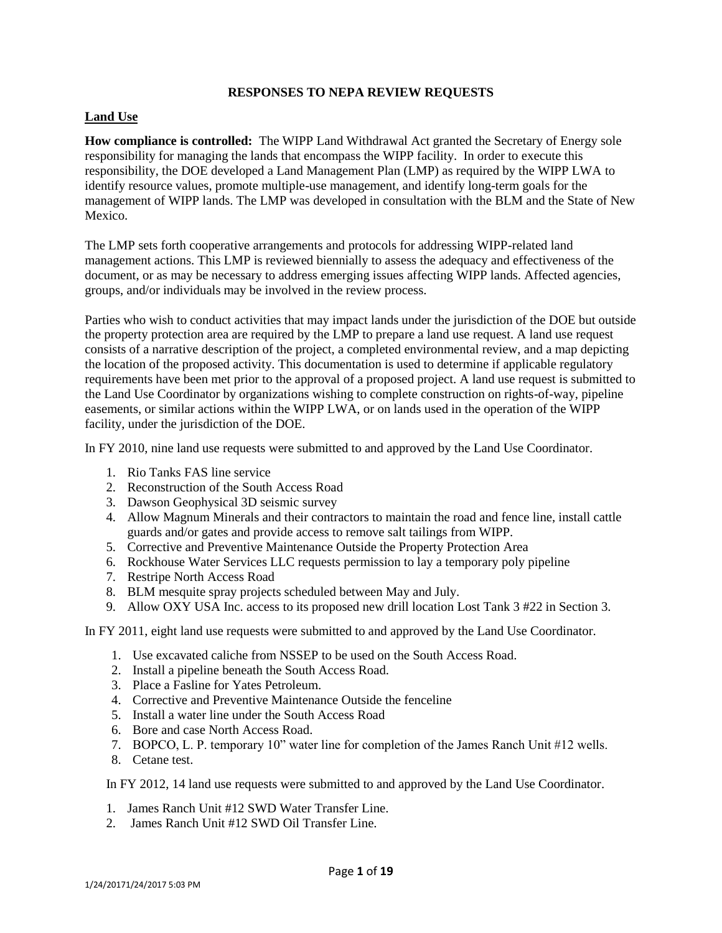#### **Land Use**

**How compliance is controlled:** The WIPP Land Withdrawal Act granted the Secretary of Energy sole responsibility for managing the lands that encompass the WIPP facility. In order to execute this responsibility, the DOE developed a Land Management Plan (LMP) as required by the WIPP LWA to identify resource values, promote multiple-use management, and identify long-term goals for the management of WIPP lands. The LMP was developed in consultation with the BLM and the State of New Mexico.

The LMP sets forth cooperative arrangements and protocols for addressing WIPP-related land management actions. This LMP is reviewed biennially to assess the adequacy and effectiveness of the document, or as may be necessary to address emerging issues affecting WIPP lands. Affected agencies, groups, and/or individuals may be involved in the review process.

Parties who wish to conduct activities that may impact lands under the jurisdiction of the DOE but outside the property protection area are required by the LMP to prepare a land use request. A land use request consists of a narrative description of the project, a completed environmental review, and a map depicting the location of the proposed activity. This documentation is used to determine if applicable regulatory requirements have been met prior to the approval of a proposed project. A land use request is submitted to the Land Use Coordinator by organizations wishing to complete construction on rights-of-way, pipeline easements, or similar actions within the WIPP LWA, or on lands used in the operation of the WIPP facility, under the jurisdiction of the DOE.

In FY 2010, nine land use requests were submitted to and approved by the Land Use Coordinator.

- 1. Rio Tanks FAS line service
- 2. Reconstruction of the South Access Road
- 3. Dawson Geophysical 3D seismic survey
- 4. Allow Magnum Minerals and their contractors to maintain the road and fence line, install cattle guards and/or gates and provide access to remove salt tailings from WIPP.
- 5. Corrective and Preventive Maintenance Outside the Property Protection Area
- 6. Rockhouse Water Services LLC requests permission to lay a temporary poly pipeline
- 7. Restripe North Access Road
- 8. BLM mesquite spray projects scheduled between May and July.
- 9. Allow OXY USA Inc. access to its proposed new drill location Lost Tank 3 #22 in Section 3.

### In FY 2011, eight land use requests were submitted to and approved by the Land Use Coordinator.

- 1. Use excavated caliche from NSSEP to be used on the South Access Road.
- 2. Install a pipeline beneath the South Access Road.
- 3. Place a Fasline for Yates Petroleum.
- 4. Corrective and Preventive Maintenance Outside the fenceline
- 5. Install a water line under the South Access Road
- 6. Bore and case North Access Road.
- 7. BOPCO, L. P. temporary 10" water line for completion of the James Ranch Unit #12 wells.
- 8. Cetane test.

In FY 2012, 14 land use requests were submitted to and approved by the Land Use Coordinator.

- 1. James Ranch Unit #12 SWD Water Transfer Line.
- 2. James Ranch Unit #12 SWD Oil Transfer Line.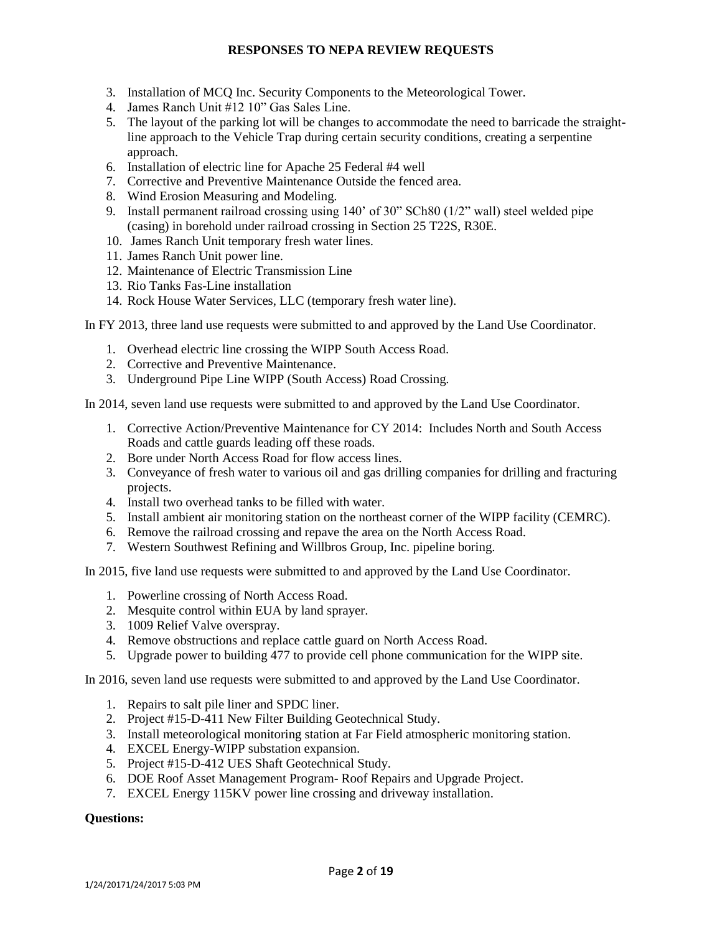- 3. Installation of MCQ Inc. Security Components to the Meteorological Tower.
- 4. James Ranch Unit #12 10" Gas Sales Line.
- 5. The layout of the parking lot will be changes to accommodate the need to barricade the straightline approach to the Vehicle Trap during certain security conditions, creating a serpentine approach.
- 6. Installation of electric line for Apache 25 Federal #4 well
- 7. Corrective and Preventive Maintenance Outside the fenced area.
- 8. Wind Erosion Measuring and Modeling.
- 9. Install permanent railroad crossing using 140' of 30" SCh80 (1/2" wall) steel welded pipe (casing) in borehold under railroad crossing in Section 25 T22S, R30E.
- 10. James Ranch Unit temporary fresh water lines.
- 11. James Ranch Unit power line.
- 12. Maintenance of Electric Transmission Line
- 13. Rio Tanks Fas-Line installation
- 14. Rock House Water Services, LLC (temporary fresh water line).

In FY 2013, three land use requests were submitted to and approved by the Land Use Coordinator.

- 1. Overhead electric line crossing the WIPP South Access Road.
- 2. Corrective and Preventive Maintenance.
- 3. Underground Pipe Line WIPP (South Access) Road Crossing.

In 2014, seven land use requests were submitted to and approved by the Land Use Coordinator.

- 1. Corrective Action/Preventive Maintenance for CY 2014: Includes North and South Access Roads and cattle guards leading off these roads.
- 2. Bore under North Access Road for flow access lines.
- 3. Conveyance of fresh water to various oil and gas drilling companies for drilling and fracturing projects.
- 4. Install two overhead tanks to be filled with water.
- 5. Install ambient air monitoring station on the northeast corner of the WIPP facility (CEMRC).
- 6. Remove the railroad crossing and repave the area on the North Access Road.
- 7. Western Southwest Refining and Willbros Group, Inc. pipeline boring.

In 2015, five land use requests were submitted to and approved by the Land Use Coordinator.

- 1. Powerline crossing of North Access Road.
- 2. Mesquite control within EUA by land sprayer.
- 3. 1009 Relief Valve overspray.
- 4. Remove obstructions and replace cattle guard on North Access Road.
- 5. Upgrade power to building 477 to provide cell phone communication for the WIPP site.

In 2016, seven land use requests were submitted to and approved by the Land Use Coordinator.

- 1. Repairs to salt pile liner and SPDC liner.
- 2. Project #15-D-411 New Filter Building Geotechnical Study.
- 3. Install meteorological monitoring station at Far Field atmospheric monitoring station.
- 4. EXCEL Energy-WIPP substation expansion.
- 5. Project #15-D-412 UES Shaft Geotechnical Study.
- 6. DOE Roof Asset Management Program- Roof Repairs and Upgrade Project.
- 7. EXCEL Energy 115KV power line crossing and driveway installation.

#### **Questions:**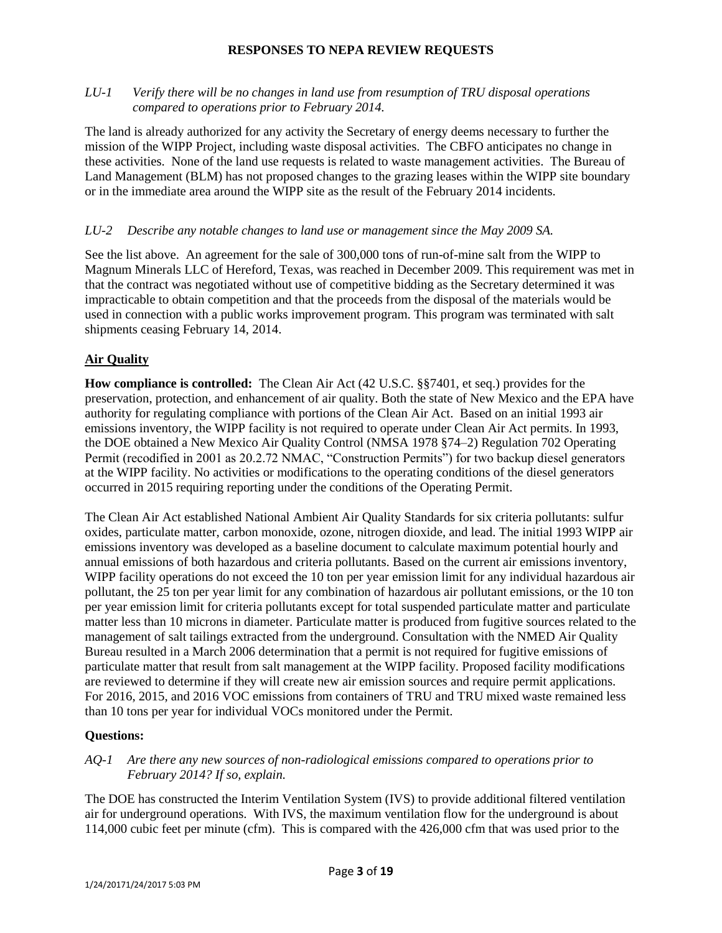### *LU-1 Verify there will be no changes in land use from resumption of TRU disposal operations compared to operations prior to February 2014.*

The land is already authorized for any activity the Secretary of energy deems necessary to further the mission of the WIPP Project, including waste disposal activities. The CBFO anticipates no change in these activities. None of the land use requests is related to waste management activities. The Bureau of Land Management (BLM) has not proposed changes to the grazing leases within the WIPP site boundary or in the immediate area around the WIPP site as the result of the February 2014 incidents.

### *LU-2 Describe any notable changes to land use or management since the May 2009 SA.*

See the list above. An agreement for the sale of 300,000 tons of run-of-mine salt from the WIPP to Magnum Minerals LLC of Hereford, Texas, was reached in December 2009. This requirement was met in that the contract was negotiated without use of competitive bidding as the Secretary determined it was impracticable to obtain competition and that the proceeds from the disposal of the materials would be used in connection with a public works improvement program. This program was terminated with salt shipments ceasing February 14, 2014.

## **Air Quality**

**How compliance is controlled:** The Clean Air Act (42 U.S.C. §§7401, et seq.) provides for the preservation, protection, and enhancement of air quality. Both the state of New Mexico and the EPA have authority for regulating compliance with portions of the Clean Air Act. Based on an initial 1993 air emissions inventory, the WIPP facility is not required to operate under Clean Air Act permits. In 1993, the DOE obtained a New Mexico Air Quality Control (NMSA 1978 §74–2) Regulation 702 Operating Permit (recodified in 2001 as 20.2.72 NMAC, "Construction Permits") for two backup diesel generators at the WIPP facility. No activities or modifications to the operating conditions of the diesel generators occurred in 2015 requiring reporting under the conditions of the Operating Permit.

The Clean Air Act established National Ambient Air Quality Standards for six criteria pollutants: sulfur oxides, particulate matter, carbon monoxide, ozone, nitrogen dioxide, and lead. The initial 1993 WIPP air emissions inventory was developed as a baseline document to calculate maximum potential hourly and annual emissions of both hazardous and criteria pollutants. Based on the current air emissions inventory, WIPP facility operations do not exceed the 10 ton per year emission limit for any individual hazardous air pollutant, the 25 ton per year limit for any combination of hazardous air pollutant emissions, or the 10 ton per year emission limit for criteria pollutants except for total suspended particulate matter and particulate matter less than 10 microns in diameter. Particulate matter is produced from fugitive sources related to the management of salt tailings extracted from the underground. Consultation with the NMED Air Quality Bureau resulted in a March 2006 determination that a permit is not required for fugitive emissions of particulate matter that result from salt management at the WIPP facility. Proposed facility modifications are reviewed to determine if they will create new air emission sources and require permit applications. For 2016, 2015, and 2016 VOC emissions from containers of TRU and TRU mixed waste remained less than 10 tons per year for individual VOCs monitored under the Permit.

### **Questions:**

### *AQ-1 Are there any new sources of non-radiological emissions compared to operations prior to February 2014? If so, explain.*

The DOE has constructed the Interim Ventilation System (IVS) to provide additional filtered ventilation air for underground operations. With IVS, the maximum ventilation flow for the underground is about 114,000 cubic feet per minute (cfm). This is compared with the 426,000 cfm that was used prior to the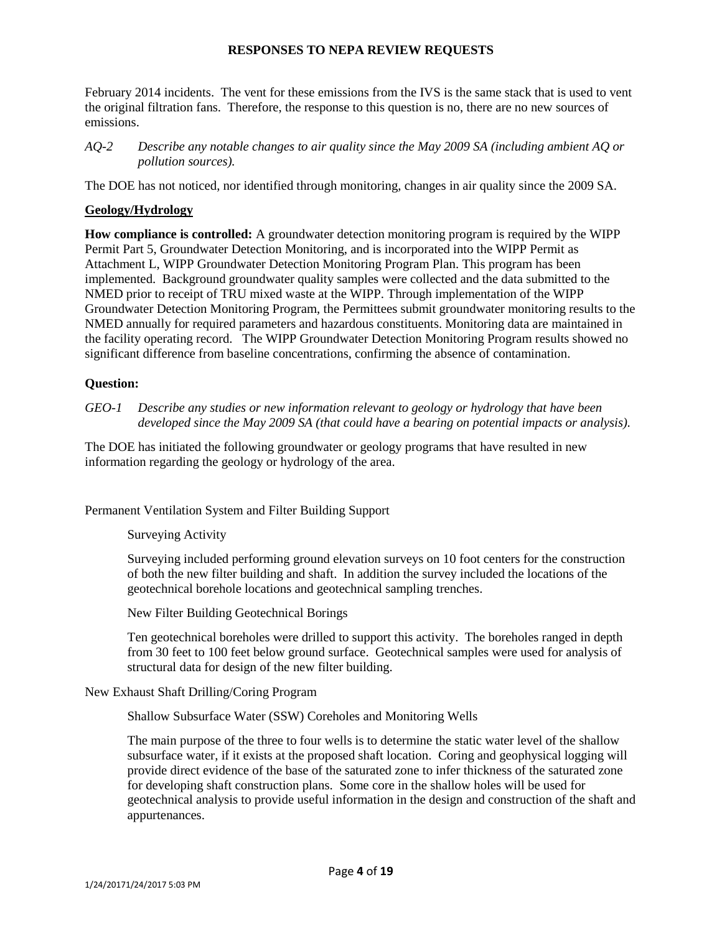February 2014 incidents. The vent for these emissions from the IVS is the same stack that is used to vent the original filtration fans. Therefore, the response to this question is no, there are no new sources of emissions.

*AQ-2 Describe any notable changes to air quality since the May 2009 SA (including ambient AQ or pollution sources).*

The DOE has not noticed, nor identified through monitoring, changes in air quality since the 2009 SA.

## **Geology/Hydrology**

**How compliance is controlled:** A groundwater detection monitoring program is required by the WIPP Permit Part 5, Groundwater Detection Monitoring, and is incorporated into the WIPP Permit as Attachment L, WIPP Groundwater Detection Monitoring Program Plan. This program has been implemented. Background groundwater quality samples were collected and the data submitted to the NMED prior to receipt of TRU mixed waste at the WIPP. Through implementation of the WIPP Groundwater Detection Monitoring Program, the Permittees submit groundwater monitoring results to the NMED annually for required parameters and hazardous constituents. Monitoring data are maintained in the facility operating record. The WIPP Groundwater Detection Monitoring Program results showed no significant difference from baseline concentrations, confirming the absence of contamination.

## **Question:**

*GEO-1 Describe any studies or new information relevant to geology or hydrology that have been developed since the May 2009 SA (that could have a bearing on potential impacts or analysis).*

The DOE has initiated the following groundwater or geology programs that have resulted in new information regarding the geology or hydrology of the area.

Permanent Ventilation System and Filter Building Support

Surveying Activity

Surveying included performing ground elevation surveys on 10 foot centers for the construction of both the new filter building and shaft. In addition the survey included the locations of the geotechnical borehole locations and geotechnical sampling trenches.

New Filter Building Geotechnical Borings

Ten geotechnical boreholes were drilled to support this activity. The boreholes ranged in depth from 30 feet to 100 feet below ground surface. Geotechnical samples were used for analysis of structural data for design of the new filter building.

New Exhaust Shaft Drilling/Coring Program

Shallow Subsurface Water (SSW) Coreholes and Monitoring Wells

The main purpose of the three to four wells is to determine the static water level of the shallow subsurface water, if it exists at the proposed shaft location. Coring and geophysical logging will provide direct evidence of the base of the saturated zone to infer thickness of the saturated zone for developing shaft construction plans. Some core in the shallow holes will be used for geotechnical analysis to provide useful information in the design and construction of the shaft and appurtenances.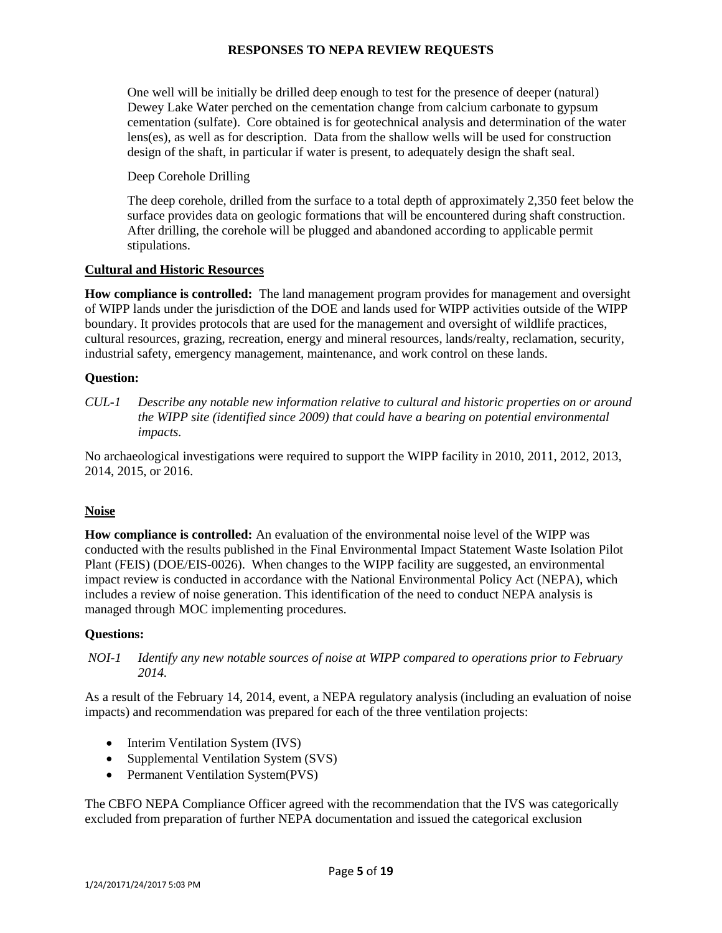One well will be initially be drilled deep enough to test for the presence of deeper (natural) Dewey Lake Water perched on the cementation change from calcium carbonate to gypsum cementation (sulfate). Core obtained is for geotechnical analysis and determination of the water lens(es), as well as for description. Data from the shallow wells will be used for construction design of the shaft, in particular if water is present, to adequately design the shaft seal.

Deep Corehole Drilling

The deep corehole, drilled from the surface to a total depth of approximately 2,350 feet below the surface provides data on geologic formations that will be encountered during shaft construction. After drilling, the corehole will be plugged and abandoned according to applicable permit stipulations.

## **Cultural and Historic Resources**

**How compliance is controlled:** The land management program provides for management and oversight of WIPP lands under the jurisdiction of the DOE and lands used for WIPP activities outside of the WIPP boundary. It provides protocols that are used for the management and oversight of wildlife practices, cultural resources, grazing, recreation, energy and mineral resources, lands/realty, reclamation, security, industrial safety, emergency management, maintenance, and work control on these lands.

## **Question:**

*CUL-1 Describe any notable new information relative to cultural and historic properties on or around the WIPP site (identified since 2009) that could have a bearing on potential environmental impacts.*

No archaeological investigations were required to support the WIPP facility in 2010, 2011, 2012, 2013, 2014, 2015, or 2016.

# **Noise**

**How compliance is controlled:** An evaluation of the environmental noise level of the WIPP was conducted with the results published in the Final Environmental Impact Statement Waste Isolation Pilot Plant (FEIS) (DOE/EIS-0026). When changes to the WIPP facility are suggested, an environmental impact review is conducted in accordance with the National Environmental Policy Act (NEPA), which includes a review of noise generation. This identification of the need to conduct NEPA analysis is managed through MOC implementing procedures.

### **Questions:**

*NOI-1 Identify any new notable sources of noise at WIPP compared to operations prior to February 2014.*

As a result of the February 14, 2014, event, a NEPA regulatory analysis (including an evaluation of noise impacts) and recommendation was prepared for each of the three ventilation projects:

- Interim Ventilation System (IVS)
- Supplemental Ventilation System (SVS)
- Permanent Ventilation System(PVS)

The CBFO NEPA Compliance Officer agreed with the recommendation that the IVS was categorically excluded from preparation of further NEPA documentation and issued the categorical exclusion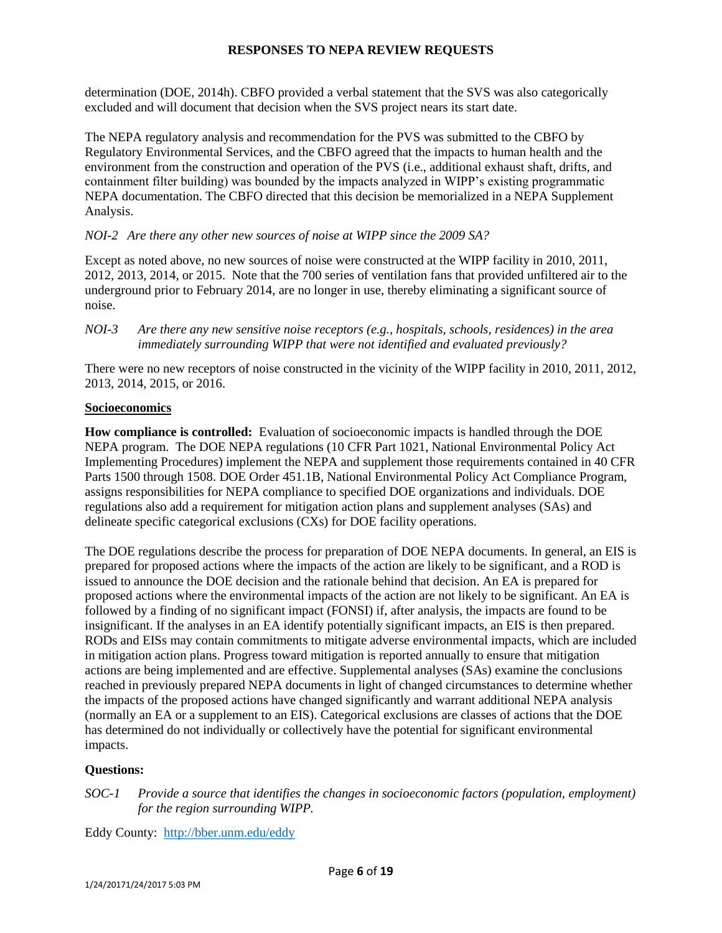determination (DOE, 2014h). CBFO provided a verbal statement that the SVS was also categorically excluded and will document that decision when the SVS project nears its start date.

The NEPA regulatory analysis and recommendation for the PVS was submitted to the CBFO by Regulatory Environmental Services, and the CBFO agreed that the impacts to human health and the environment from the construction and operation of the PVS (i.e., additional exhaust shaft, drifts, and containment filter building) was bounded by the impacts analyzed in WIPP's existing programmatic NEPA documentation. The CBFO directed that this decision be memorialized in a NEPA Supplement Analysis.

## *NOI-2 Are there any other new sources of noise at WIPP since the 2009 SA?*

Except as noted above, no new sources of noise were constructed at the WIPP facility in 2010, 2011, 2012, 2013, 2014, or 2015. Note that the 700 series of ventilation fans that provided unfiltered air to the underground prior to February 2014, are no longer in use, thereby eliminating a significant source of noise.

There were no new receptors of noise constructed in the vicinity of the WIPP facility in 2010, 2011, 2012, 2013, 2014, 2015, or 2016.

## **Socioeconomics**

**How compliance is controlled:** Evaluation of socioeconomic impacts is handled through the DOE NEPA program. The DOE NEPA regulations (10 CFR Part 1021, National Environmental Policy Act Implementing Procedures) implement the NEPA and supplement those requirements contained in 40 CFR Parts 1500 through 1508. DOE Order 451.1B, National Environmental Policy Act Compliance Program, assigns responsibilities for NEPA compliance to specified DOE organizations and individuals. DOE regulations also add a requirement for mitigation action plans and supplement analyses (SAs) and delineate specific categorical exclusions (CXs) for DOE facility operations.

The DOE regulations describe the process for preparation of DOE NEPA documents. In general, an EIS is prepared for proposed actions where the impacts of the action are likely to be significant, and a ROD is issued to announce the DOE decision and the rationale behind that decision. An EA is prepared for proposed actions where the environmental impacts of the action are not likely to be significant. An EA is followed by a finding of no significant impact (FONSI) if, after analysis, the impacts are found to be insignificant. If the analyses in an EA identify potentially significant impacts, an EIS is then prepared. RODs and EISs may contain commitments to mitigate adverse environmental impacts, which are included in mitigation action plans. Progress toward mitigation is reported annually to ensure that mitigation actions are being implemented and are effective. Supplemental analyses (SAs) examine the conclusions reached in previously prepared NEPA documents in light of changed circumstances to determine whether the impacts of the proposed actions have changed significantly and warrant additional NEPA analysis (normally an EA or a supplement to an EIS). Categorical exclusions are classes of actions that the DOE has determined do not individually or collectively have the potential for significant environmental impacts.

# **Questions:**

*SOC-1 Provide a source that identifies the changes in socioeconomic factors (population, employment) for the region surrounding WIPP.*

Eddy County: <http://bber.unm.edu/eddy>

*NOI-3 Are there any new sensitive noise receptors (e.g., hospitals, schools, residences) in the area immediately surrounding WIPP that were not identified and evaluated previously?*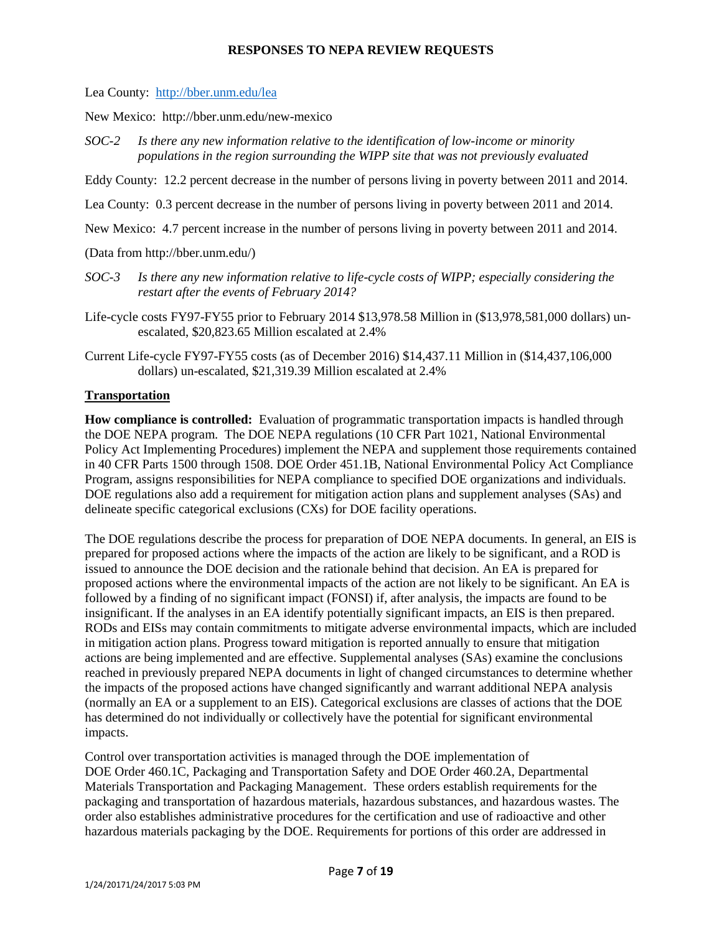Lea County: <http://bber.unm.edu/lea>

New Mexico: http://bber.unm.edu/new-mexico

*SOC-2 Is there any new information relative to the identification of low-income or minority populations in the region surrounding the WIPP site that was not previously evaluated*

Eddy County: 12.2 percent decrease in the number of persons living in poverty between 2011 and 2014.

Lea County: 0.3 percent decrease in the number of persons living in poverty between 2011 and 2014.

New Mexico: 4.7 percent increase in the number of persons living in poverty between 2011 and 2014.

(Data from http://bber.unm.edu/)

- *SOC-3 Is there any new information relative to life-cycle costs of WIPP; especially considering the restart after the events of February 2014?*
- Life-cycle costs FY97-FY55 prior to February 2014 \$13,978.58 Million in (\$13,978,581,000 dollars) unescalated, \$20,823.65 Million escalated at 2.4%
- Current Life-cycle FY97-FY55 costs (as of December 2016) \$14,437.11 Million in (\$14,437,106,000 dollars) un-escalated, \$21,319.39 Million escalated at 2.4%

### **Transportation**

**How compliance is controlled:** Evaluation of programmatic transportation impacts is handled through the DOE NEPA program. The DOE NEPA regulations (10 CFR Part 1021, National Environmental Policy Act Implementing Procedures) implement the NEPA and supplement those requirements contained in 40 CFR Parts 1500 through 1508. DOE Order 451.1B, National Environmental Policy Act Compliance Program, assigns responsibilities for NEPA compliance to specified DOE organizations and individuals. DOE regulations also add a requirement for mitigation action plans and supplement analyses (SAs) and delineate specific categorical exclusions (CXs) for DOE facility operations.

The DOE regulations describe the process for preparation of DOE NEPA documents. In general, an EIS is prepared for proposed actions where the impacts of the action are likely to be significant, and a ROD is issued to announce the DOE decision and the rationale behind that decision. An EA is prepared for proposed actions where the environmental impacts of the action are not likely to be significant. An EA is followed by a finding of no significant impact (FONSI) if, after analysis, the impacts are found to be insignificant. If the analyses in an EA identify potentially significant impacts, an EIS is then prepared. RODs and EISs may contain commitments to mitigate adverse environmental impacts, which are included in mitigation action plans. Progress toward mitigation is reported annually to ensure that mitigation actions are being implemented and are effective. Supplemental analyses (SAs) examine the conclusions reached in previously prepared NEPA documents in light of changed circumstances to determine whether the impacts of the proposed actions have changed significantly and warrant additional NEPA analysis (normally an EA or a supplement to an EIS). Categorical exclusions are classes of actions that the DOE has determined do not individually or collectively have the potential for significant environmental impacts.

Control over transportation activities is managed through the DOE implementation of DOE Order 460.1C, Packaging and Transportation Safety and DOE Order 460.2A, Departmental Materials Transportation and Packaging Management. These orders establish requirements for the packaging and transportation of hazardous materials, hazardous substances, and hazardous wastes. The order also establishes administrative procedures for the certification and use of radioactive and other hazardous materials packaging by the DOE. Requirements for portions of this order are addressed in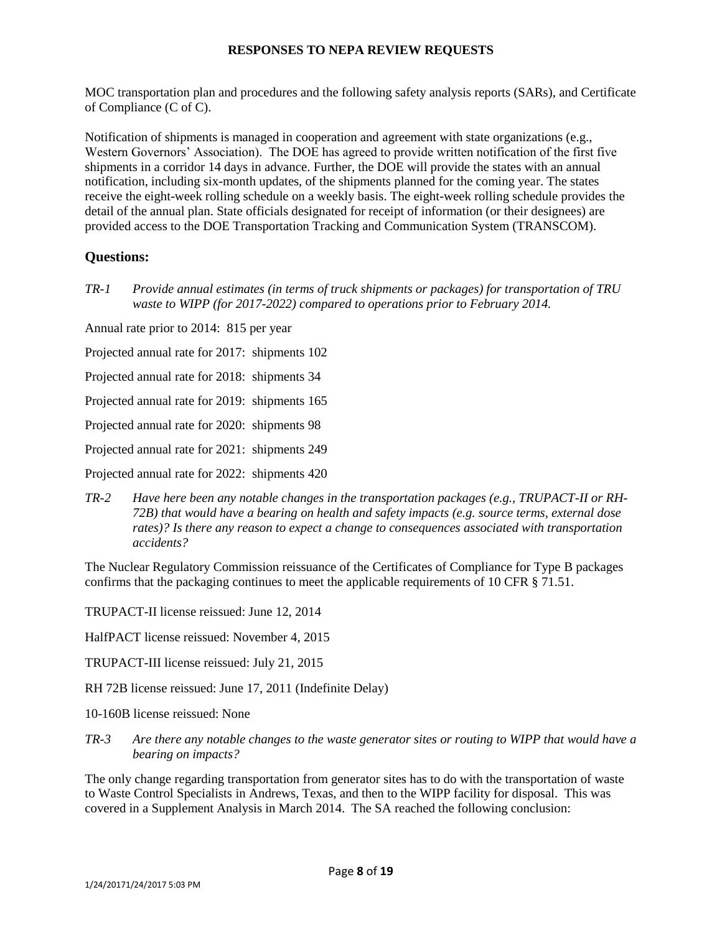MOC transportation plan and procedures and the following safety analysis reports (SARs), and Certificate of Compliance (C of C).

Notification of shipments is managed in cooperation and agreement with state organizations (e.g., Western Governors' Association). The DOE has agreed to provide written notification of the first five shipments in a corridor 14 days in advance. Further, the DOE will provide the states with an annual notification, including six-month updates, of the shipments planned for the coming year. The states receive the eight-week rolling schedule on a weekly basis. The eight-week rolling schedule provides the detail of the annual plan. State officials designated for receipt of information (or their designees) are provided access to the DOE Transportation Tracking and Communication System (TRANSCOM).

# **Questions:**

*TR-1 Provide annual estimates (in terms of truck shipments or packages) for transportation of TRU waste to WIPP (for 2017-2022) compared to operations prior to February 2014.* 

Annual rate prior to 2014: 815 per year

Projected annual rate for 2017: shipments 102

Projected annual rate for 2018: shipments 34

Projected annual rate for 2019: shipments 165

Projected annual rate for 2020: shipments 98

Projected annual rate for 2021: shipments 249

Projected annual rate for 2022: shipments 420

*TR-2 Have here been any notable changes in the transportation packages (e.g., TRUPACT-II or RH-72B) that would have a bearing on health and safety impacts (e.g. source terms, external dose rates)? Is there any reason to expect a change to consequences associated with transportation accidents?*

The Nuclear Regulatory Commission reissuance of the Certificates of Compliance for Type B packages confirms that the packaging continues to meet the applicable requirements of 10 CFR § 71.51.

TRUPACT-II license reissued: June 12, 2014

HalfPACT license reissued: November 4, 2015

- TRUPACT-III license reissued: July 21, 2015
- RH 72B license reissued: June 17, 2011 (Indefinite Delay)
- 10-160B license reissued: None
- *TR-3 Are there any notable changes to the waste generator sites or routing to WIPP that would have a bearing on impacts?*

The only change regarding transportation from generator sites has to do with the transportation of waste to Waste Control Specialists in Andrews, Texas, and then to the WIPP facility for disposal. This was covered in a Supplement Analysis in March 2014. The SA reached the following conclusion: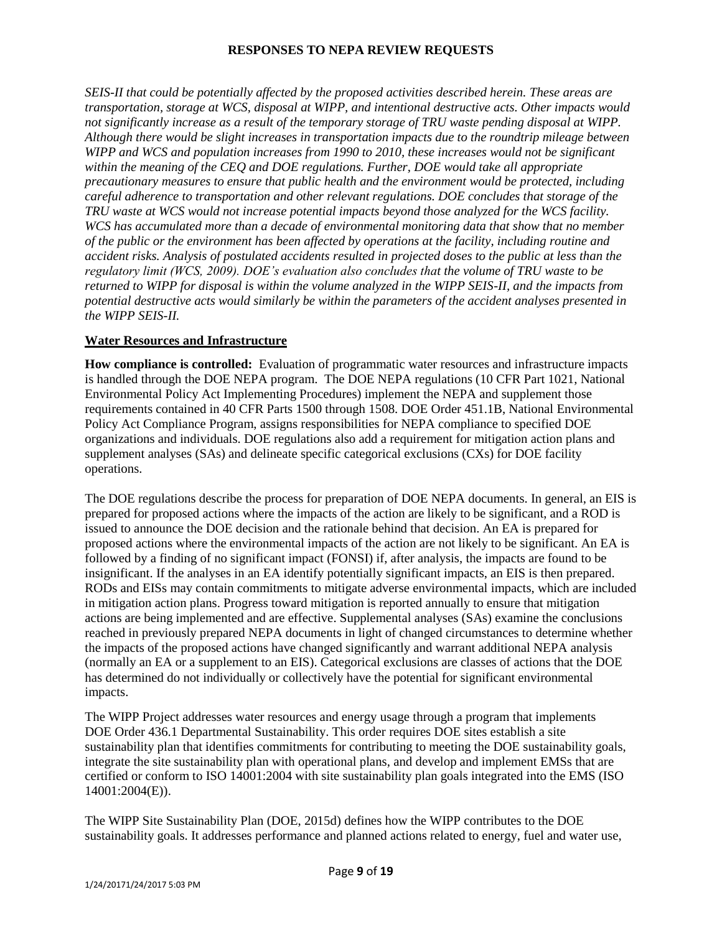*SEIS-II that could be potentially affected by the proposed activities described herein. These areas are transportation, storage at WCS, disposal at WIPP, and intentional destructive acts. Other impacts would not significantly increase as a result of the temporary storage of TRU waste pending disposal at WIPP. Although there would be slight increases in transportation impacts due to the roundtrip mileage between WIPP and WCS and population increases from 1990 to 2010, these increases would not be significant within the meaning of the CEQ and DOE regulations. Further, DOE would take all appropriate precautionary measures to ensure that public health and the environment would be protected, including careful adherence to transportation and other relevant regulations. DOE concludes that storage of the TRU waste at WCS would not increase potential impacts beyond those analyzed for the WCS facility. WCS has accumulated more than a decade of environmental monitoring data that show that no member of the public or the environment has been affected by operations at the facility, including routine and accident risks. Analysis of postulated accidents resulted in projected doses to the public at less than the regulatory limit (WCS, 2009). DOE's evaluation also concludes that the volume of TRU waste to be returned to WIPP for disposal is within the volume analyzed in the WIPP SEIS-II, and the impacts from potential destructive acts would similarly be within the parameters of the accident analyses presented in the WIPP SEIS-II.* 

## **Water Resources and Infrastructure**

**How compliance is controlled:** Evaluation of programmatic water resources and infrastructure impacts is handled through the DOE NEPA program. The DOE NEPA regulations (10 CFR Part 1021, National Environmental Policy Act Implementing Procedures) implement the NEPA and supplement those requirements contained in 40 CFR Parts 1500 through 1508. DOE Order 451.1B, National Environmental Policy Act Compliance Program, assigns responsibilities for NEPA compliance to specified DOE organizations and individuals. DOE regulations also add a requirement for mitigation action plans and supplement analyses (SAs) and delineate specific categorical exclusions (CXs) for DOE facility operations.

The DOE regulations describe the process for preparation of DOE NEPA documents. In general, an EIS is prepared for proposed actions where the impacts of the action are likely to be significant, and a ROD is issued to announce the DOE decision and the rationale behind that decision. An EA is prepared for proposed actions where the environmental impacts of the action are not likely to be significant. An EA is followed by a finding of no significant impact (FONSI) if, after analysis, the impacts are found to be insignificant. If the analyses in an EA identify potentially significant impacts, an EIS is then prepared. RODs and EISs may contain commitments to mitigate adverse environmental impacts, which are included in mitigation action plans. Progress toward mitigation is reported annually to ensure that mitigation actions are being implemented and are effective. Supplemental analyses (SAs) examine the conclusions reached in previously prepared NEPA documents in light of changed circumstances to determine whether the impacts of the proposed actions have changed significantly and warrant additional NEPA analysis (normally an EA or a supplement to an EIS). Categorical exclusions are classes of actions that the DOE has determined do not individually or collectively have the potential for significant environmental impacts.

The WIPP Project addresses water resources and energy usage through a program that implements DOE Order 436.1 Departmental Sustainability. This order requires DOE sites establish a site sustainability plan that identifies commitments for contributing to meeting the DOE sustainability goals, integrate the site sustainability plan with operational plans, and develop and implement EMSs that are certified or conform to ISO 14001:2004 with site sustainability plan goals integrated into the EMS (ISO 14001:2004(E)).

The WIPP Site Sustainability Plan (DOE, 2015d) defines how the WIPP contributes to the DOE sustainability goals. It addresses performance and planned actions related to energy, fuel and water use,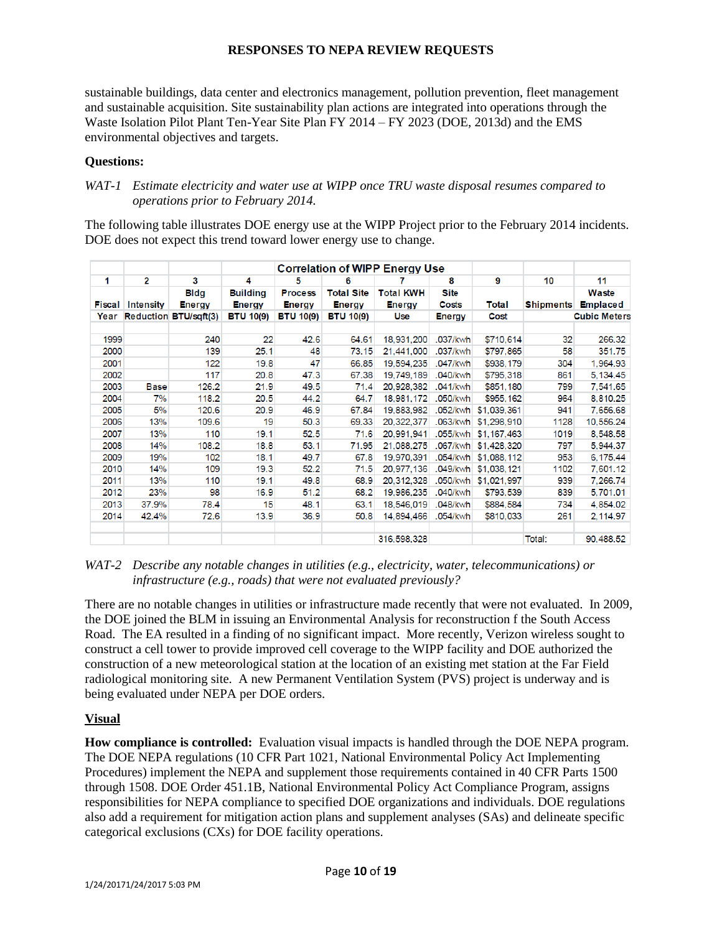sustainable buildings, data center and electronics management, pollution prevention, fleet management and sustainable acquisition. Site sustainability plan actions are integrated into operations through the Waste Isolation Pilot Plant Ten-Year Site Plan FY 2014 – FY 2023 (DOE, 2013d) and the EMS environmental objectives and targets.

#### **Questions:**

## *WAT-1 Estimate electricity and water use at WIPP once TRU waste disposal resumes compared to operations prior to February 2014.*

The following table illustrates DOE energy use at the WIPP Project prior to the February 2014 incidents. DOE does not expect this trend toward lower energy use to change.

|               |             |                              |                                  | <b>Correlation of WIPP Energy Use</b> |                                    |                                   |                      |             |                  |                          |
|---------------|-------------|------------------------------|----------------------------------|---------------------------------------|------------------------------------|-----------------------------------|----------------------|-------------|------------------|--------------------------|
| 1             | 2           | 3                            | 4                                | 5                                     | 6                                  | 7                                 | 8                    | 9           | 10               | 11                       |
| <b>Fiscal</b> | Intensity   | <b>Bldg</b><br><b>Energy</b> | <b>Building</b><br><b>Energy</b> | <b>Process</b><br><b>Energy</b>       | <b>Total Site</b><br><b>Energy</b> | <b>Total KWH</b><br><b>Energy</b> | <b>Site</b><br>Costs | Total       | <b>Shipments</b> | Waste<br><b>Emplaced</b> |
|               |             | Year Reduction BTU/sqft(3)   | <b>BTU 10(9)</b>                 | <b>BTU 10(9)</b>                      | <b>BTU 10(9)</b>                   | <b>Use</b>                        | <b>Energy</b>        | Cost        |                  | <b>Cubic Meters</b>      |
|               |             |                              |                                  |                                       |                                    |                                   |                      |             |                  |                          |
| 1999          |             | 240                          | 22                               | 42.6                                  | 64.61                              | 18,931,200                        | .037/kwh             | \$710,614   | 32               | 266.32                   |
| 2000          |             | 139                          | 25.1                             | 48                                    | 73.15                              | 21,441,000                        | .037/kwh             | \$797,865   | 58               | 351.75                   |
| 2001          |             | 122                          | 19.8                             | 47                                    | 66.85                              | 19,594,235                        | .047/kwh             | \$938,179   | 304              | 1,964.93                 |
| 2002          |             | 117                          | 20.8                             | 47.3                                  | 67.38                              | 19,749,189                        | .040/kwh             | \$795,318   | 861              | 5,134.45                 |
| 2003          | <b>Base</b> | 126.2                        | 21.9                             | 49.5                                  | 71.4                               | 20,928,382                        | .041/kwh             | \$851,180   | 799              | 7,541.65                 |
| 2004          | 7%          | 118.2                        | 20.5                             | 44.2                                  | 64.7                               | 18,981,172                        | .050/kwh             | \$955,162   | 964              | 8,810.25                 |
| 2005          | 5%          | 120.6                        | 20.9                             | 46.9                                  | 67.84                              | 19,883,982                        | .052/kwh             | \$1,039,361 | 941              | 7,656.68                 |
| 2006          | 13%         | 109.6                        | 19                               | 50.3                                  | 69.33                              | 20,322,377                        | .063/kwh             | \$1,298,910 | 1128             | 10,556.24                |
| 2007          | 13%         | 110                          | 19.1                             | 52.5                                  | 71.6                               | 20,991,941                        | .055/kwh             | \$1,167,463 | 1019             | 8,548.58                 |
| 2008          | 14%         | 108.2                        | 18.8                             | 53.1                                  | 71.95                              | 21,088,275                        | .067/kwh             | \$1,428,320 | 797              | 5,944.37                 |
| 2009          | 19%         | 102                          | 18.1                             | 49.7                                  | 67.8                               | 19,970,391                        | .054/kwh             | \$1,088,112 | 953              | 6,175.44                 |
| 2010          | 14%         | 109                          | 19.3                             | 52.2                                  | 71.5                               | 20,977,136                        | .049/kwh             | \$1,038,121 | 1102             | 7,601.12                 |
| 2011          | 13%         | 110                          | 19.1                             | 49.8                                  | 68.9                               | 20,312,328                        | .050/kwh             | \$1,021,997 | 939              | 7,266.74                 |
| 2012          | 23%         | 98                           | 16.9                             | 51.2                                  | 68.2                               | 19,986,235                        | .040/kwh             | \$793,539   | 839              | 5,701.01                 |
| 2013          | 37.9%       | 78.4                         | 15                               | 48.1                                  | 63.1                               | 18,546,019                        | .048/kwh             | \$884,584   | 734              | 4,854.02                 |
| 2014          | 42.4%       | 72.6                         | 13.9                             | 36.9                                  | 50.8                               | 14,894,466                        | .054/kwh             | \$810,033   | 261              | 2,114.97                 |
|               |             |                              |                                  |                                       |                                    | 316,598,328                       |                      |             | Total:           | 90,488.52                |

*WAT-2 Describe any notable changes in utilities (e.g., electricity, water, telecommunications) or infrastructure (e.g., roads) that were not evaluated previously?*

There are no notable changes in utilities or infrastructure made recently that were not evaluated. In 2009, the DOE joined the BLM in issuing an Environmental Analysis for reconstruction f the South Access Road. The EA resulted in a finding of no significant impact. More recently, Verizon wireless sought to construct a cell tower to provide improved cell coverage to the WIPP facility and DOE authorized the construction of a new meteorological station at the location of an existing met station at the Far Field radiological monitoring site. A new Permanent Ventilation System (PVS) project is underway and is being evaluated under NEPA per DOE orders.

### **Visual**

**How compliance is controlled:** Evaluation visual impacts is handled through the DOE NEPA program. The DOE NEPA regulations (10 CFR Part 1021, National Environmental Policy Act Implementing Procedures) implement the NEPA and supplement those requirements contained in 40 CFR Parts 1500 through 1508. DOE Order 451.1B, National Environmental Policy Act Compliance Program, assigns responsibilities for NEPA compliance to specified DOE organizations and individuals. DOE regulations also add a requirement for mitigation action plans and supplement analyses (SAs) and delineate specific categorical exclusions (CXs) for DOE facility operations.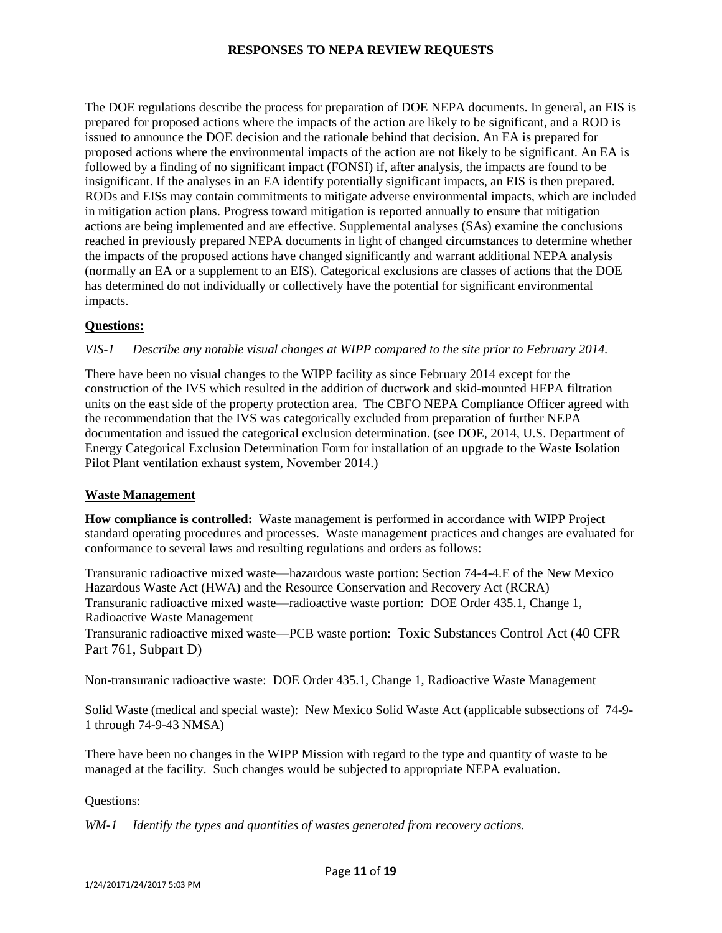The DOE regulations describe the process for preparation of DOE NEPA documents. In general, an EIS is prepared for proposed actions where the impacts of the action are likely to be significant, and a ROD is issued to announce the DOE decision and the rationale behind that decision. An EA is prepared for proposed actions where the environmental impacts of the action are not likely to be significant. An EA is followed by a finding of no significant impact (FONSI) if, after analysis, the impacts are found to be insignificant. If the analyses in an EA identify potentially significant impacts, an EIS is then prepared. RODs and EISs may contain commitments to mitigate adverse environmental impacts, which are included in mitigation action plans. Progress toward mitigation is reported annually to ensure that mitigation actions are being implemented and are effective. Supplemental analyses (SAs) examine the conclusions reached in previously prepared NEPA documents in light of changed circumstances to determine whether the impacts of the proposed actions have changed significantly and warrant additional NEPA analysis (normally an EA or a supplement to an EIS). Categorical exclusions are classes of actions that the DOE has determined do not individually or collectively have the potential for significant environmental impacts.

### **Questions:**

#### *VIS-1 Describe any notable visual changes at WIPP compared to the site prior to February 2014.*

There have been no visual changes to the WIPP facility as since February 2014 except for the construction of the IVS which resulted in the addition of ductwork and skid-mounted HEPA filtration units on the east side of the property protection area. The CBFO NEPA Compliance Officer agreed with the recommendation that the IVS was categorically excluded from preparation of further NEPA documentation and issued the categorical exclusion determination. (see DOE, 2014, U.S. Department of Energy Categorical Exclusion Determination Form for installation of an upgrade to the Waste Isolation Pilot Plant ventilation exhaust system, November 2014.)

#### **Waste Management**

**How compliance is controlled:** Waste management is performed in accordance with WIPP Project standard operating procedures and processes. Waste management practices and changes are evaluated for conformance to several laws and resulting regulations and orders as follows:

Transuranic radioactive mixed waste—hazardous waste portion: Section 74-4-4.E of the New Mexico Hazardous Waste Act (HWA) and the Resource Conservation and Recovery Act (RCRA) Transuranic radioactive mixed waste—radioactive waste portion: DOE Order 435.1, Change 1, Radioactive Waste Management

Transuranic radioactive mixed waste—PCB waste portion: Toxic Substances Control Act (40 CFR Part 761, Subpart D)

Non-transuranic radioactive waste: DOE Order 435.1, Change 1, Radioactive Waste Management

Solid Waste (medical and special waste): New Mexico Solid Waste Act (applicable subsections of 74-9- 1 through 74-9-43 NMSA)

There have been no changes in the WIPP Mission with regard to the type and quantity of waste to be managed at the facility. Such changes would be subjected to appropriate NEPA evaluation.

Questions:

*WM-1 Identify the types and quantities of wastes generated from recovery actions.*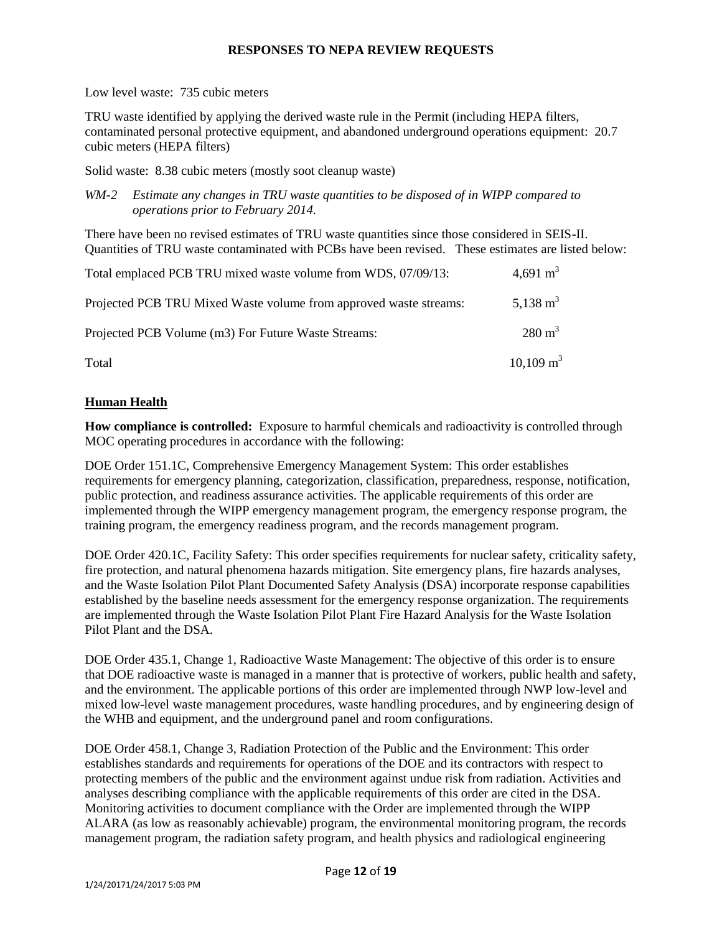Low level waste: 735 cubic meters

TRU waste identified by applying the derived waste rule in the Permit (including HEPA filters, contaminated personal protective equipment, and abandoned underground operations equipment: 20.7 cubic meters (HEPA filters)

Solid waste: 8.38 cubic meters (mostly soot cleanup waste)

*WM-2 Estimate any changes in TRU waste quantities to be disposed of in WIPP compared to operations prior to February 2014.*

There have been no revised estimates of TRU waste quantities since those considered in SEIS-II. Quantities of TRU waste contaminated with PCBs have been revised. These estimates are listed below:

| Total emplaced PCB TRU mixed waste volume from WDS, 07/09/13:     | 4,691 m <sup>3</sup> |
|-------------------------------------------------------------------|----------------------|
| Projected PCB TRU Mixed Waste volume from approved waste streams: | 5,138 m <sup>3</sup> |
| Projected PCB Volume (m3) For Future Waste Streams:               | $280 \text{ m}^3$    |
| Total                                                             | $10,109 \text{ m}^3$ |

## **Human Health**

**How compliance is controlled:** Exposure to harmful chemicals and radioactivity is controlled through MOC operating procedures in accordance with the following:

DOE Order 151.1C, Comprehensive Emergency Management System: This order establishes requirements for emergency planning, categorization, classification, preparedness, response, notification, public protection, and readiness assurance activities. The applicable requirements of this order are implemented through the WIPP emergency management program, the emergency response program, the training program, the emergency readiness program, and the records management program.

DOE Order 420.1C, Facility Safety: This order specifies requirements for nuclear safety, criticality safety, fire protection, and natural phenomena hazards mitigation. Site emergency plans, fire hazards analyses, and the Waste Isolation Pilot Plant Documented Safety Analysis (DSA) incorporate response capabilities established by the baseline needs assessment for the emergency response organization. The requirements are implemented through the Waste Isolation Pilot Plant Fire Hazard Analysis for the Waste Isolation Pilot Plant and the DSA.

DOE Order 435.1, Change 1, Radioactive Waste Management: The objective of this order is to ensure that DOE radioactive waste is managed in a manner that is protective of workers, public health and safety, and the environment. The applicable portions of this order are implemented through NWP low-level and mixed low-level waste management procedures, waste handling procedures, and by engineering design of the WHB and equipment, and the underground panel and room configurations.

DOE Order 458.1, Change 3, Radiation Protection of the Public and the Environment: This order establishes standards and requirements for operations of the DOE and its contractors with respect to protecting members of the public and the environment against undue risk from radiation. Activities and analyses describing compliance with the applicable requirements of this order are cited in the DSA. Monitoring activities to document compliance with the Order are implemented through the WIPP ALARA (as low as reasonably achievable) program, the environmental monitoring program, the records management program, the radiation safety program, and health physics and radiological engineering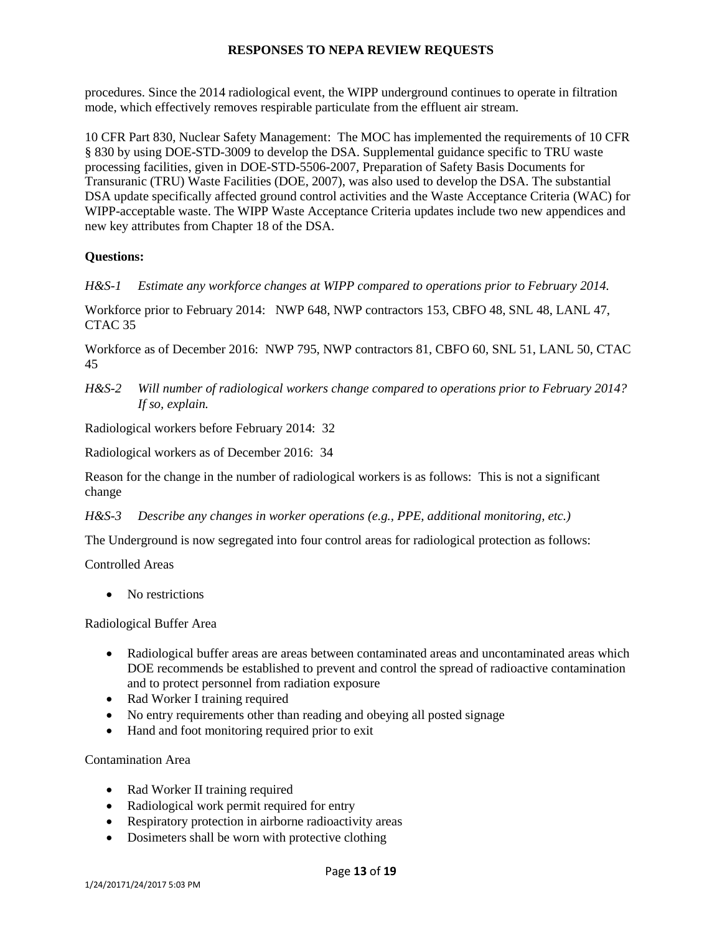procedures. Since the 2014 radiological event, the WIPP underground continues to operate in filtration mode, which effectively removes respirable particulate from the effluent air stream.

10 CFR Part 830, Nuclear Safety Management: The MOC has implemented the requirements of 10 CFR § 830 by using DOE-STD-3009 to develop the DSA. Supplemental guidance specific to TRU waste processing facilities, given in DOE-STD-5506-2007, Preparation of Safety Basis Documents for Transuranic (TRU) Waste Facilities (DOE, 2007), was also used to develop the DSA. The substantial DSA update specifically affected ground control activities and the Waste Acceptance Criteria (WAC) for WIPP-acceptable waste. The WIPP Waste Acceptance Criteria updates include two new appendices and new key attributes from Chapter 18 of the DSA.

# **Questions:**

*H&S-1 Estimate any workforce changes at WIPP compared to operations prior to February 2014.*

Workforce prior to February 2014: NWP 648, NWP contractors 153, CBFO 48, SNL 48, LANL 47, CTAC 35

Workforce as of December 2016: NWP 795, NWP contractors 81, CBFO 60, SNL 51, LANL 50, CTAC 45

*H&S-2 Will number of radiological workers change compared to operations prior to February 2014? If so, explain.*

Radiological workers before February 2014: 32

Radiological workers as of December 2016: 34

Reason for the change in the number of radiological workers is as follows: This is not a significant change

*H&S-3 Describe any changes in worker operations (e.g., PPE, additional monitoring, etc.)* 

The Underground is now segregated into four control areas for radiological protection as follows:

Controlled Areas

• No restrictions

Radiological Buffer Area

- Radiological buffer areas are areas between contaminated areas and uncontaminated areas which DOE recommends be established to prevent and control the spread of radioactive contamination and to protect personnel from radiation exposure
- Rad Worker I training required
- No entry requirements other than reading and obeying all posted signage
- Hand and foot monitoring required prior to exit

Contamination Area

- Rad Worker II training required
- Radiological work permit required for entry
- Respiratory protection in airborne radioactivity areas
- Dosimeters shall be worn with protective clothing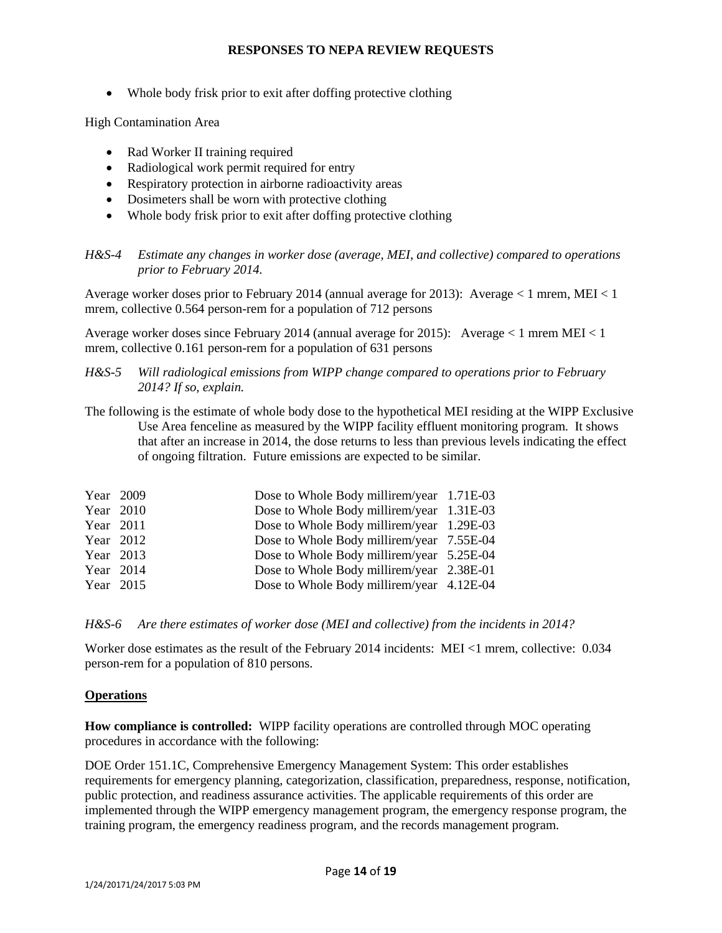• Whole body frisk prior to exit after doffing protective clothing

High Contamination Area

- Rad Worker II training required
- Radiological work permit required for entry
- Respiratory protection in airborne radioactivity areas
- Dosimeters shall be worn with protective clothing
- Whole body frisk prior to exit after doffing protective clothing

*H&S-4 Estimate any changes in worker dose (average, MEI, and collective) compared to operations prior to February 2014.*

Average worker doses prior to February 2014 (annual average for 2013): Average < 1 mrem, MEI < 1 mrem, collective 0.564 person-rem for a population of 712 persons

Average worker doses since February 2014 (annual average for 2015): Average < 1 mrem MEI < 1 mrem, collective 0.161 person-rem for a population of 631 persons

#### *H&S-5 Will radiological emissions from WIPP change compared to operations prior to February 2014? If so, explain.*

The following is the estimate of whole body dose to the hypothetical MEI residing at the WIPP Exclusive Use Area fenceline as measured by the WIPP facility effluent monitoring program. It shows that after an increase in 2014, the dose returns to less than previous levels indicating the effect of ongoing filtration. Future emissions are expected to be similar.

| Year 2009 | Dose to Whole Body millirem/year 1.71E-03 |  |
|-----------|-------------------------------------------|--|
| Year 2010 | Dose to Whole Body millirem/year 1.31E-03 |  |
| Year 2011 | Dose to Whole Body millirem/year 1.29E-03 |  |
| Year 2012 | Dose to Whole Body millirem/year 7.55E-04 |  |
| Year 2013 | Dose to Whole Body millirem/year 5.25E-04 |  |
| Year 2014 | Dose to Whole Body millirem/year 2.38E-01 |  |
| Year 2015 | Dose to Whole Body millirem/year 4.12E-04 |  |

*H&S-6 Are there estimates of worker dose (MEI and collective) from the incidents in 2014?*

Worker dose estimates as the result of the February 2014 incidents: MEI <1 mrem, collective: 0.034 person-rem for a population of 810 persons.

### **Operations**

**How compliance is controlled:** WIPP facility operations are controlled through MOC operating procedures in accordance with the following:

DOE Order 151.1C, Comprehensive Emergency Management System: This order establishes requirements for emergency planning, categorization, classification, preparedness, response, notification, public protection, and readiness assurance activities. The applicable requirements of this order are implemented through the WIPP emergency management program, the emergency response program, the training program, the emergency readiness program, and the records management program.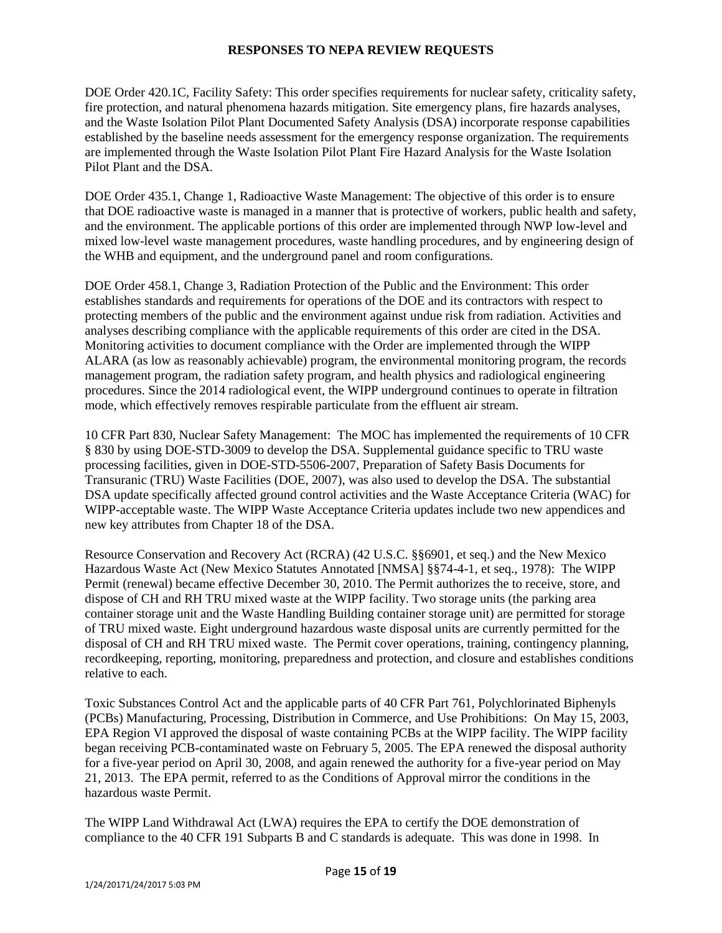DOE Order 420.1C, Facility Safety: This order specifies requirements for nuclear safety, criticality safety, fire protection, and natural phenomena hazards mitigation. Site emergency plans, fire hazards analyses, and the Waste Isolation Pilot Plant Documented Safety Analysis (DSA) incorporate response capabilities established by the baseline needs assessment for the emergency response organization. The requirements are implemented through the Waste Isolation Pilot Plant Fire Hazard Analysis for the Waste Isolation Pilot Plant and the DSA.

DOE Order 435.1, Change 1, Radioactive Waste Management: The objective of this order is to ensure that DOE radioactive waste is managed in a manner that is protective of workers, public health and safety, and the environment. The applicable portions of this order are implemented through NWP low-level and mixed low-level waste management procedures, waste handling procedures, and by engineering design of the WHB and equipment, and the underground panel and room configurations.

DOE Order 458.1, Change 3, Radiation Protection of the Public and the Environment: This order establishes standards and requirements for operations of the DOE and its contractors with respect to protecting members of the public and the environment against undue risk from radiation. Activities and analyses describing compliance with the applicable requirements of this order are cited in the DSA. Monitoring activities to document compliance with the Order are implemented through the WIPP ALARA (as low as reasonably achievable) program, the environmental monitoring program, the records management program, the radiation safety program, and health physics and radiological engineering procedures. Since the 2014 radiological event, the WIPP underground continues to operate in filtration mode, which effectively removes respirable particulate from the effluent air stream.

10 CFR Part 830, Nuclear Safety Management: The MOC has implemented the requirements of 10 CFR § 830 by using DOE-STD-3009 to develop the DSA. Supplemental guidance specific to TRU waste processing facilities, given in DOE-STD-5506-2007, Preparation of Safety Basis Documents for Transuranic (TRU) Waste Facilities (DOE, 2007), was also used to develop the DSA. The substantial DSA update specifically affected ground control activities and the Waste Acceptance Criteria (WAC) for WIPP-acceptable waste. The WIPP Waste Acceptance Criteria updates include two new appendices and new key attributes from Chapter 18 of the DSA.

Resource Conservation and Recovery Act (RCRA) (42 U.S.C. §§6901, et seq.) and the New Mexico Hazardous Waste Act (New Mexico Statutes Annotated [NMSA] §§74-4-1, et seq., 1978): The WIPP Permit (renewal) became effective December 30, 2010. The Permit authorizes the to receive, store, and dispose of CH and RH TRU mixed waste at the WIPP facility. Two storage units (the parking area container storage unit and the Waste Handling Building container storage unit) are permitted for storage of TRU mixed waste. Eight underground hazardous waste disposal units are currently permitted for the disposal of CH and RH TRU mixed waste. The Permit cover operations, training, contingency planning, recordkeeping, reporting, monitoring, preparedness and protection, and closure and establishes conditions relative to each.

Toxic Substances Control Act and the applicable parts of 40 CFR Part 761, Polychlorinated Biphenyls (PCBs) Manufacturing, Processing, Distribution in Commerce, and Use Prohibitions: On May 15, 2003, EPA Region VI approved the disposal of waste containing PCBs at the WIPP facility. The WIPP facility began receiving PCB-contaminated waste on February 5, 2005. The EPA renewed the disposal authority for a five-year period on April 30, 2008, and again renewed the authority for a five-year period on May 21, 2013. The EPA permit, referred to as the Conditions of Approval mirror the conditions in the hazardous waste Permit.

The WIPP Land Withdrawal Act (LWA) requires the EPA to certify the DOE demonstration of compliance to the 40 CFR 191 Subparts B and C standards is adequate. This was done in 1998. In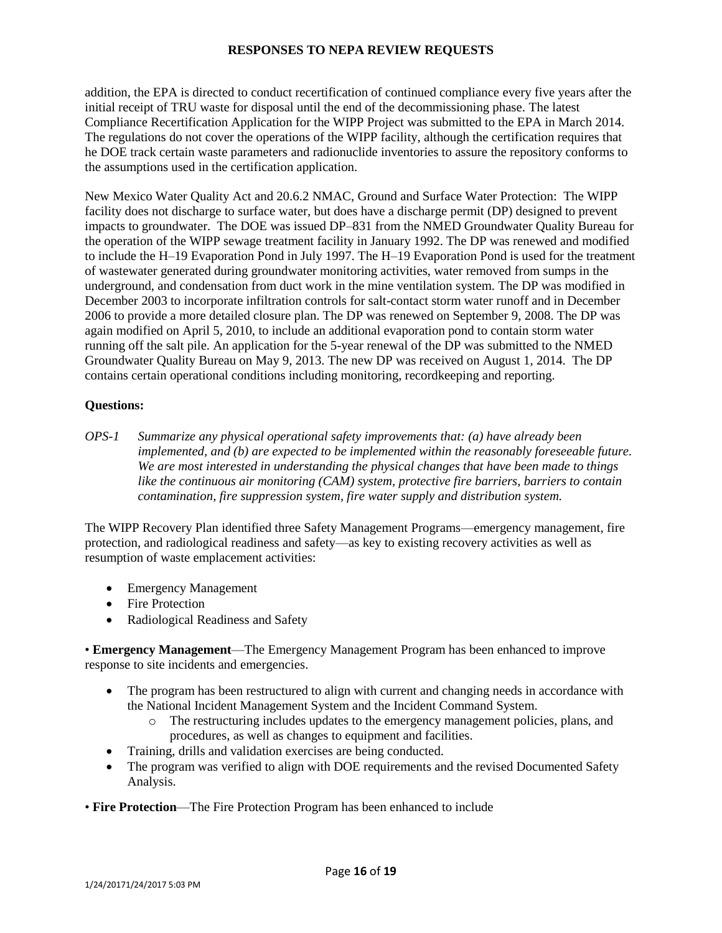addition, the EPA is directed to conduct recertification of continued compliance every five years after the initial receipt of TRU waste for disposal until the end of the decommissioning phase. The latest Compliance Recertification Application for the WIPP Project was submitted to the EPA in March 2014. The regulations do not cover the operations of the WIPP facility, although the certification requires that he DOE track certain waste parameters and radionuclide inventories to assure the repository conforms to the assumptions used in the certification application.

New Mexico Water Quality Act and 20.6.2 NMAC, Ground and Surface Water Protection: The WIPP facility does not discharge to surface water, but does have a discharge permit (DP) designed to prevent impacts to groundwater. The DOE was issued DP–831 from the NMED Groundwater Quality Bureau for the operation of the WIPP sewage treatment facility in January 1992. The DP was renewed and modified to include the H–19 Evaporation Pond in July 1997. The H–19 Evaporation Pond is used for the treatment of wastewater generated during groundwater monitoring activities, water removed from sumps in the underground, and condensation from duct work in the mine ventilation system. The DP was modified in December 2003 to incorporate infiltration controls for salt-contact storm water runoff and in December 2006 to provide a more detailed closure plan. The DP was renewed on September 9, 2008. The DP was again modified on April 5, 2010, to include an additional evaporation pond to contain storm water running off the salt pile. An application for the 5-year renewal of the DP was submitted to the NMED Groundwater Quality Bureau on May 9, 2013. The new DP was received on August 1, 2014. The DP contains certain operational conditions including monitoring, recordkeeping and reporting.

## **Questions:**

*OPS-1 Summarize any physical operational safety improvements that: (a) have already been implemented, and (b) are expected to be implemented within the reasonably foreseeable future. We are most interested in understanding the physical changes that have been made to things like the continuous air monitoring (CAM) system, protective fire barriers, barriers to contain contamination, fire suppression system, fire water supply and distribution system.*

The WIPP Recovery Plan identified three Safety Management Programs—emergency management, fire protection, and radiological readiness and safety—as key to existing recovery activities as well as resumption of waste emplacement activities:

- Emergency Management
- Fire Protection
- Radiological Readiness and Safety

• **Emergency Management**—The Emergency Management Program has been enhanced to improve response to site incidents and emergencies.

- The program has been restructured to align with current and changing needs in accordance with the National Incident Management System and the Incident Command System.
	- o The restructuring includes updates to the emergency management policies, plans, and procedures, as well as changes to equipment and facilities.
- Training, drills and validation exercises are being conducted.
- The program was verified to align with DOE requirements and the revised Documented Safety Analysis.
- **Fire Protection**—The Fire Protection Program has been enhanced to include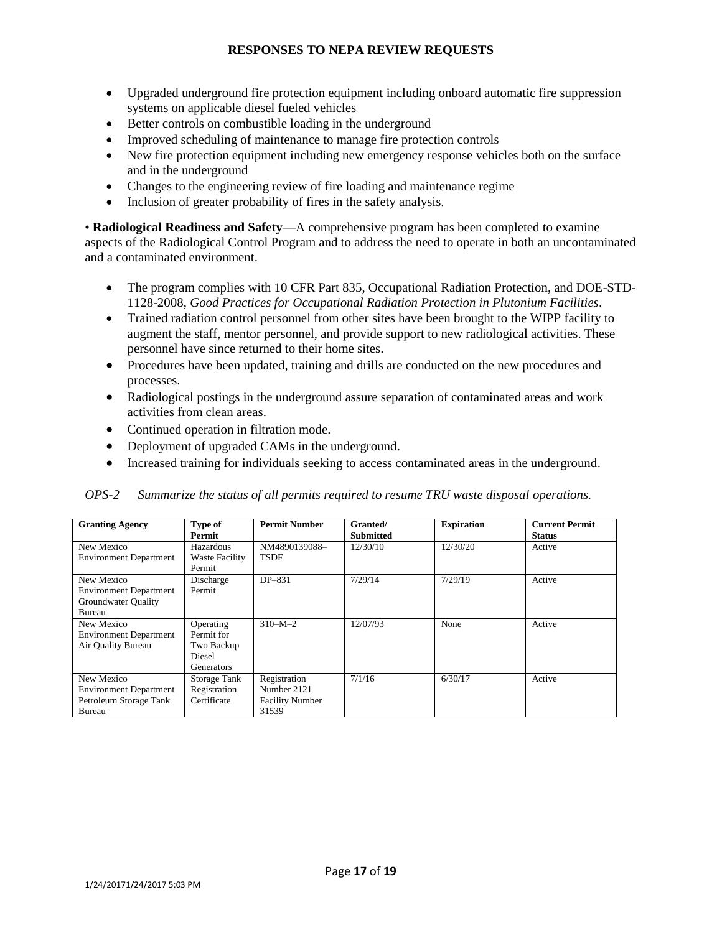- Upgraded underground fire protection equipment including onboard automatic fire suppression systems on applicable diesel fueled vehicles
- Better controls on combustible loading in the underground
- Improved scheduling of maintenance to manage fire protection controls
- New fire protection equipment including new emergency response vehicles both on the surface and in the underground
- Changes to the engineering review of fire loading and maintenance regime
- Inclusion of greater probability of fires in the safety analysis.

• **Radiological Readiness and Safety**—A comprehensive program has been completed to examine aspects of the Radiological Control Program and to address the need to operate in both an uncontaminated and a contaminated environment.

- The program complies with 10 CFR Part 835, Occupational Radiation Protection, and DOE-STD-1128-2008, *Good Practices for Occupational Radiation Protection in Plutonium Facilities*.
- Trained radiation control personnel from other sites have been brought to the WIPP facility to augment the staff, mentor personnel, and provide support to new radiological activities. These personnel have since returned to their home sites.
- Procedures have been updated, training and drills are conducted on the new procedures and processes.
- Radiological postings in the underground assure separation of contaminated areas and work activities from clean areas.
- Continued operation in filtration mode.
- Deployment of upgraded CAMs in the underground.
- Increased training for individuals seeking to access contaminated areas in the underground.

| <b>Granting Agency</b>                                                          | Type of<br>Permit                                             | <b>Permit Number</b>                                           | Granted/<br><b>Submitted</b> | <b>Expiration</b> | <b>Current Permit</b><br><b>Status</b> |
|---------------------------------------------------------------------------------|---------------------------------------------------------------|----------------------------------------------------------------|------------------------------|-------------------|----------------------------------------|
| New Mexico<br><b>Environment Department</b>                                     | Hazardous<br><b>Waste Facility</b><br>Permit                  | NM4890139088-<br><b>TSDF</b>                                   | 12/30/10                     | 12/30/20          | Active                                 |
| New Mexico<br><b>Environment Department</b><br>Groundwater Quality<br>Bureau    | Discharge<br>Permit                                           | DP-831                                                         | 7/29/14                      | 7/29/19           | Active                                 |
| New Mexico<br><b>Environment Department</b><br>Air Ouality Bureau               | Operating<br>Permit for<br>Two Backup<br>Diesel<br>Generators | $310-M-2$                                                      | 12/07/93                     | None              | Active                                 |
| New Mexico<br><b>Environment Department</b><br>Petroleum Storage Tank<br>Bureau | Storage Tank<br>Registration<br>Certificate                   | Registration<br>Number 2121<br><b>Facility Number</b><br>31539 | 7/1/16                       | 6/30/17           | Active                                 |

#### *OPS-2 Summarize the status of all permits required to resume TRU waste disposal operations.*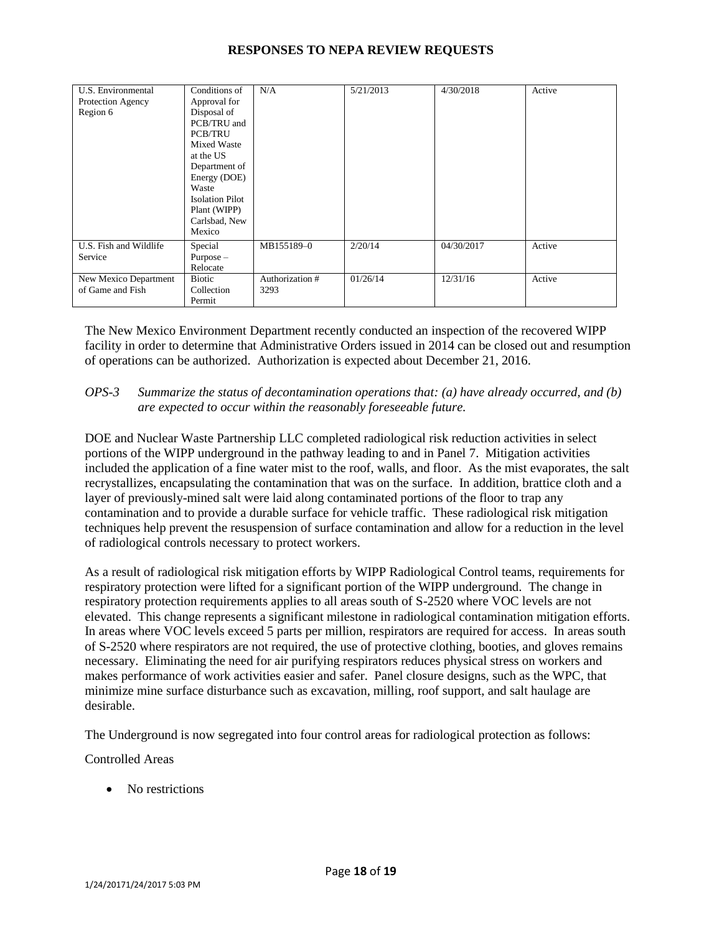| U.S. Environmental<br>Protection Agency<br>Region 6 | Conditions of<br>Approval for<br>Disposal of<br>PCB/TRU and<br><b>PCB/TRU</b><br><b>Mixed Waste</b><br>at the US<br>Department of<br>Energy (DOE)<br>Waste<br><b>Isolation Pilot</b><br>Plant (WIPP)<br>Carlsbad, New<br>Mexico | N/A                     | 5/21/2013 | 4/30/2018  | Active |
|-----------------------------------------------------|---------------------------------------------------------------------------------------------------------------------------------------------------------------------------------------------------------------------------------|-------------------------|-----------|------------|--------|
| U.S. Fish and Wildlife<br>Service                   | Special<br>$Purpose -$<br>Relocate                                                                                                                                                                                              | MB155189-0              | 2/20/14   | 04/30/2017 | Active |
| New Mexico Department<br>of Game and Fish           | <b>Biotic</b><br>Collection<br>Permit                                                                                                                                                                                           | Authorization #<br>3293 | 01/26/14  | 12/31/16   | Active |

The New Mexico Environment Department recently conducted an inspection of the recovered WIPP facility in order to determine that Administrative Orders issued in 2014 can be closed out and resumption of operations can be authorized. Authorization is expected about December 21, 2016.

### *OPS-3 Summarize the status of decontamination operations that: (a) have already occurred, and (b) are expected to occur within the reasonably foreseeable future.*

DOE and Nuclear Waste Partnership LLC completed radiological risk reduction activities in select portions of the WIPP underground in the pathway leading to and in Panel 7. Mitigation activities included the application of a fine water mist to the roof, walls, and floor. As the mist evaporates, the salt recrystallizes, encapsulating the contamination that was on the surface. In addition, brattice cloth and a layer of previously-mined salt were laid along contaminated portions of the floor to trap any contamination and to provide a durable surface for vehicle traffic. These radiological risk mitigation techniques help prevent the resuspension of surface contamination and allow for a reduction in the level of radiological controls necessary to protect workers.

As a result of radiological risk mitigation efforts by WIPP Radiological Control teams, requirements for respiratory protection were lifted for a significant portion of the WIPP underground. The change in respiratory protection requirements applies to all areas south of S-2520 where VOC levels are not elevated. This change represents a significant milestone in radiological contamination mitigation efforts. In areas where VOC levels exceed 5 parts per million, respirators are required for access. In areas south of S-2520 where respirators are not required, the use of protective clothing, booties, and gloves remains necessary. Eliminating the need for air purifying respirators reduces physical stress on workers and makes performance of work activities easier and safer. Panel closure designs, such as the WPC, that minimize mine surface disturbance such as excavation, milling, roof support, and salt haulage are desirable.

The Underground is now segregated into four control areas for radiological protection as follows:

Controlled Areas

• No restrictions